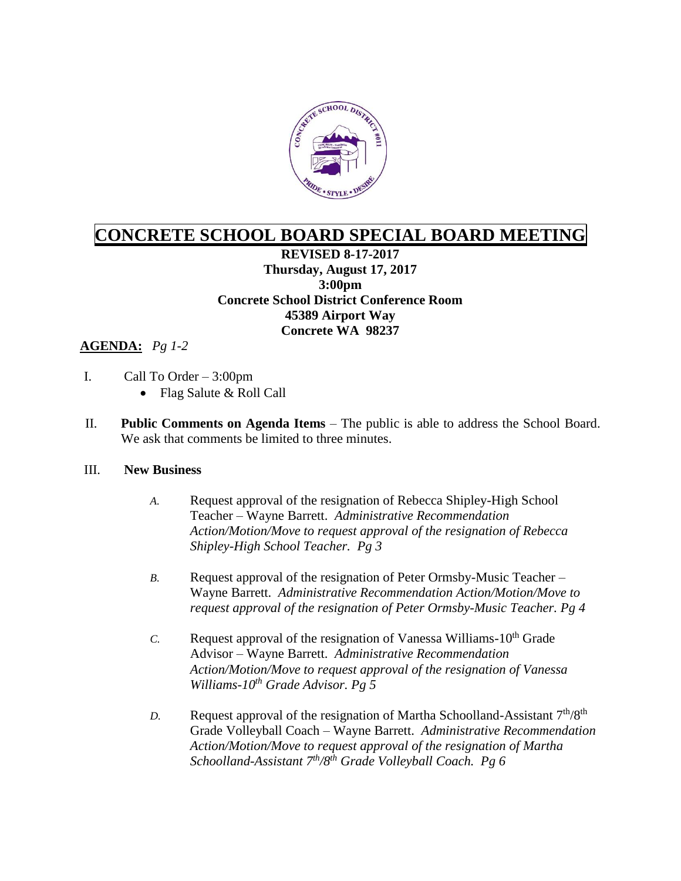

## **CONCRETE SCHOOL BOARD SPECIAL BOARD MEETING**

**REVISED 8-17-2017 Thursday, August 17, 2017 3:00pm Concrete School District Conference Room 45389 Airport Way Concrete WA 98237**

## **AGENDA:** *Pg 1-2*

- I. Call To Order 3:00pm
	- Flag Salute & Roll Call
- II. **Public Comments on Agenda Items** The public is able to address the School Board. We ask that comments be limited to three minutes.

## III. **New Business**

- *A.* Request approval of the resignation of Rebecca Shipley-High School Teacher – Wayne Barrett. *Administrative Recommendation Action/Motion/Move to request approval of the resignation of Rebecca Shipley-High School Teacher. Pg 3*
- *B.* Request approval of the resignation of Peter Ormsby-Music Teacher Wayne Barrett. *Administrative Recommendation Action/Motion/Move to request approval of the resignation of Peter Ormsby-Music Teacher. Pg 4*
- *C.* Request approval of the resignation of Vanessa Williams- $10<sup>th</sup>$  Grade Advisor – Wayne Barrett. *Administrative Recommendation Action/Motion/Move to request approval of the resignation of Vanessa Williams-10th Grade Advisor. Pg 5*
- *D.* Request approval of the resignation of Martha Schoolland-Assistant  $7<sup>th</sup>/8<sup>th</sup>$ Grade Volleyball Coach – Wayne Barrett. *Administrative Recommendation Action/Motion/Move to request approval of the resignation of Martha Schoolland-Assistant 7th/8th Grade Volleyball Coach. Pg 6*